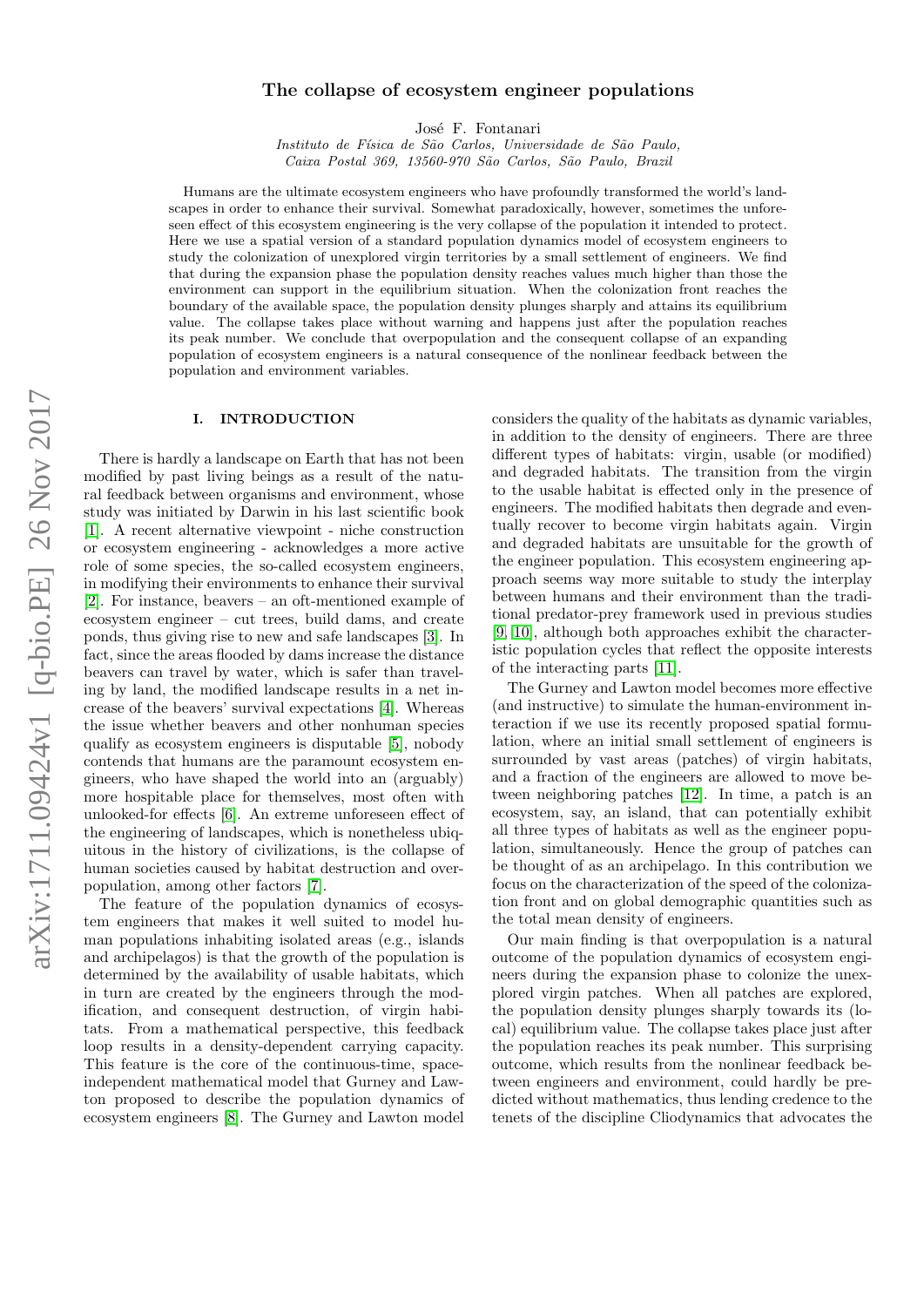# arXiv:1711.09424v1 [q-bio.PE] 26 Nov 2017 arXiv:1711.09424v1 [q-bio.PE] 26 Nov 2017

# The collapse of ecosystem engineer populations

José F. Fontanari

Instituto de Física de São Carlos, Universidade de São Paulo, Caixa Postal 369, 13560-970 São Carlos, São Paulo, Brazil

Humans are the ultimate ecosystem engineers who have profoundly transformed the world's landscapes in order to enhance their survival. Somewhat paradoxically, however, sometimes the unforeseen effect of this ecosystem engineering is the very collapse of the population it intended to protect. Here we use a spatial version of a standard population dynamics model of ecosystem engineers to study the colonization of unexplored virgin territories by a small settlement of engineers. We find that during the expansion phase the population density reaches values much higher than those the environment can support in the equilibrium situation. When the colonization front reaches the boundary of the available space, the population density plunges sharply and attains its equilibrium value. The collapse takes place without warning and happens just after the population reaches its peak number. We conclude that overpopulation and the consequent collapse of an expanding population of ecosystem engineers is a natural consequence of the nonlinear feedback between the population and environment variables.

# I. INTRODUCTION

There is hardly a landscape on Earth that has not been modified by past living beings as a result of the natural feedback between organisms and environment, whose study was initiated by Darwin in his last scientific book [\[1\]](#page-7-0). A recent alternative viewpoint - niche construction or ecosystem engineering - acknowledges a more active role of some species, the so-called ecosystem engineers, in modifying their environments to enhance their survival [\[2\]](#page-7-1). For instance, beavers – an oft-mentioned example of ecosystem engineer – cut trees, build dams, and create ponds, thus giving rise to new and safe landscapes [\[3\]](#page-7-2). In fact, since the areas flooded by dams increase the distance beavers can travel by water, which is safer than traveling by land, the modified landscape results in a net increase of the beavers' survival expectations [\[4\]](#page-7-3). Whereas the issue whether beavers and other nonhuman species qualify as ecosystem engineers is disputable [\[5\]](#page-7-4), nobody contends that humans are the paramount ecosystem engineers, who have shaped the world into an (arguably) more hospitable place for themselves, most often with unlooked-for effects [\[6\]](#page-7-5). An extreme unforeseen effect of the engineering of landscapes, which is nonetheless ubiquitous in the history of civilizations, is the collapse of human societies caused by habitat destruction and overpopulation, among other factors [\[7\]](#page-7-6).

The feature of the population dynamics of ecosystem engineers that makes it well suited to model human populations inhabiting isolated areas (e.g., islands and archipelagos) is that the growth of the population is determined by the availability of usable habitats, which in turn are created by the engineers through the modification, and consequent destruction, of virgin habitats. From a mathematical perspective, this feedback loop results in a density-dependent carrying capacity. This feature is the core of the continuous-time, spaceindependent mathematical model that Gurney and Lawton proposed to describe the population dynamics of ecosystem engineers [\[8\]](#page-7-7). The Gurney and Lawton model

considers the quality of the habitats as dynamic variables, in addition to the density of engineers. There are three different types of habitats: virgin, usable (or modified) and degraded habitats. The transition from the virgin to the usable habitat is effected only in the presence of engineers. The modified habitats then degrade and eventually recover to become virgin habitats again. Virgin and degraded habitats are unsuitable for the growth of the engineer population. This ecosystem engineering approach seems way more suitable to study the interplay between humans and their environment than the traditional predator-prey framework used in previous studies [\[9,](#page-7-8) [10\]](#page-7-9), although both approaches exhibit the characteristic population cycles that reflect the opposite interests of the interacting parts [\[11\]](#page-7-10).

The Gurney and Lawton model becomes more effective (and instructive) to simulate the human-environment interaction if we use its recently proposed spatial formulation, where an initial small settlement of engineers is surrounded by vast areas (patches) of virgin habitats, and a fraction of the engineers are allowed to move between neighboring patches [\[12\]](#page-7-11). In time, a patch is an ecosystem, say, an island, that can potentially exhibit all three types of habitats as well as the engineer population, simultaneously. Hence the group of patches can be thought of as an archipelago. In this contribution we focus on the characterization of the speed of the colonization front and on global demographic quantities such as the total mean density of engineers.

Our main finding is that overpopulation is a natural outcome of the population dynamics of ecosystem engineers during the expansion phase to colonize the unexplored virgin patches. When all patches are explored, the population density plunges sharply towards its (local) equilibrium value. The collapse takes place just after the population reaches its peak number. This surprising outcome, which results from the nonlinear feedback between engineers and environment, could hardly be predicted without mathematics, thus lending credence to the tenets of the discipline Cliodynamics that advocates the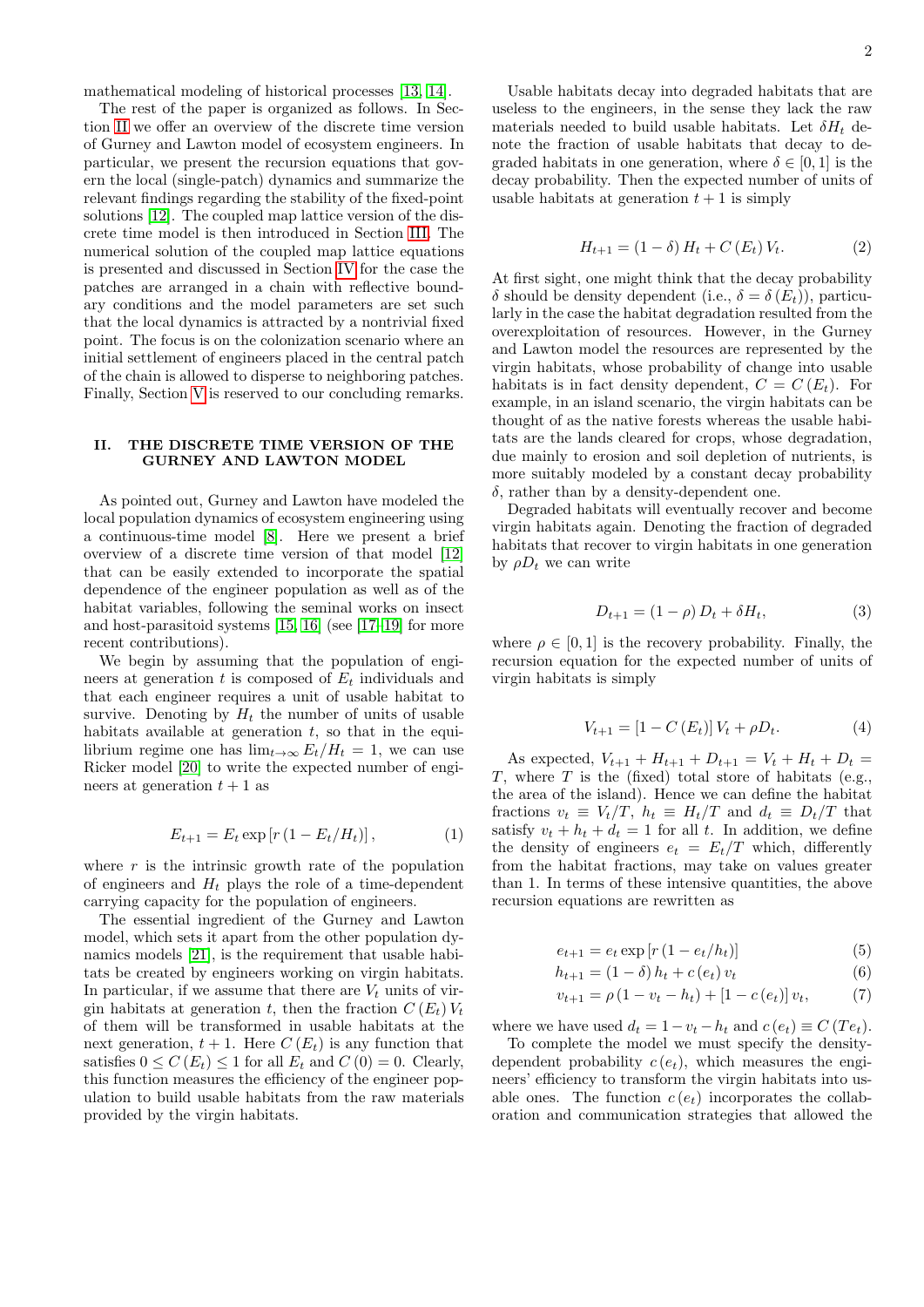mathematical modeling of historical processes [\[13,](#page-7-12) [14\]](#page-7-13).

The rest of the paper is organized as follows. In Section [II](#page-1-0) we offer an overview of the discrete time version of Gurney and Lawton model of ecosystem engineers. In particular, we present the recursion equations that govern the local (single-patch) dynamics and summarize the relevant findings regarding the stability of the fixed-point solutions [\[12\]](#page-7-11). The coupled map lattice version of the discrete time model is then introduced in Section [III.](#page-2-0) The numerical solution of the coupled map lattice equations is presented and discussed in Section [IV](#page-3-0) for the case the patches are arranged in a chain with reflective boundary conditions and the model parameters are set such that the local dynamics is attracted by a nontrivial fixed point. The focus is on the colonization scenario where an initial settlement of engineers placed in the central patch of the chain is allowed to disperse to neighboring patches. Finally, Section [V](#page-6-0) is reserved to our concluding remarks.

# <span id="page-1-0"></span>II. THE DISCRETE TIME VERSION OF THE GURNEY AND LAWTON MODEL

As pointed out, Gurney and Lawton have modeled the local population dynamics of ecosystem engineering using a continuous-time model [\[8\]](#page-7-7). Here we present a brief overview of a discrete time version of that model [\[12\]](#page-7-11) that can be easily extended to incorporate the spatial dependence of the engineer population as well as of the habitat variables, following the seminal works on insect and host-parasitoid systems [\[15,](#page-7-14) [16\]](#page-7-15) (see [\[17](#page-7-16)[–19\]](#page-7-17) for more recent contributions).

We begin by assuming that the population of engineers at generation t is composed of  $E_t$  individuals and that each engineer requires a unit of usable habitat to survive. Denoting by  $H_t$  the number of units of usable habitats available at generation  $t$ , so that in the equilibrium regime one has  $\lim_{t\to\infty} E_t/H_t = 1$ , we can use Ricker model [\[20\]](#page-7-18) to write the expected number of engineers at generation  $t + 1$  as

$$
E_{t+1} = E_t \exp[r(1 - E_t/H_t)], \qquad (1)
$$

where  $r$  is the intrinsic growth rate of the population of engineers and  $H_t$  plays the role of a time-dependent carrying capacity for the population of engineers.

The essential ingredient of the Gurney and Lawton model, which sets it apart from the other population dynamics models [\[21\]](#page-7-19), is the requirement that usable habitats be created by engineers working on virgin habitats. In particular, if we assume that there are  $V_t$  units of virgin habitats at generation t, then the fraction  $C(E_t)V_t$ of them will be transformed in usable habitats at the next generation,  $t + 1$ . Here  $C(E_t)$  is any function that satisfies  $0 \leq C(E_t) \leq 1$  for all  $E_t$  and  $C(0) = 0$ . Clearly, this function measures the efficiency of the engineer population to build usable habitats from the raw materials provided by the virgin habitats.

Usable habitats decay into degraded habitats that are useless to the engineers, in the sense they lack the raw materials needed to build usable habitats. Let  $\delta H_t$  denote the fraction of usable habitats that decay to degraded habitats in one generation, where  $\delta \in [0, 1]$  is the decay probability. Then the expected number of units of usable habitats at generation  $t + 1$  is simply

$$
H_{t+1} = (1 - \delta) H_t + C(E_t) V_t.
$$
 (2)

At first sight, one might think that the decay probability δ should be density dependent (i.e.,  $\delta = \delta(E_t)$ ), particularly in the case the habitat degradation resulted from the overexploitation of resources. However, in the Gurney and Lawton model the resources are represented by the virgin habitats, whose probability of change into usable habitats is in fact density dependent,  $C = C(E_t)$ . For example, in an island scenario, the virgin habitats can be thought of as the native forests whereas the usable habitats are the lands cleared for crops, whose degradation, due mainly to erosion and soil depletion of nutrients, is more suitably modeled by a constant decay probability  $\delta$ , rather than by a density-dependent one.

Degraded habitats will eventually recover and become virgin habitats again. Denoting the fraction of degraded habitats that recover to virgin habitats in one generation by  $\rho D_t$  we can write

$$
D_{t+1} = (1 - \rho) D_t + \delta H_t, \tag{3}
$$

where  $\rho \in [0, 1]$  is the recovery probability. Finally, the recursion equation for the expected number of units of virgin habitats is simply

$$
V_{t+1} = [1 - C(E_t)] V_t + \rho D_t.
$$
 (4)

As expected,  $V_{t+1} + H_{t+1} + D_{t+1} = V_t + H_t + D_t =$  $T$ , where  $T$  is the (fixed) total store of habitats (e.g., the area of the island). Hence we can define the habitat fractions  $v_t \equiv V_t/T$ ,  $h_t \equiv H_t/T$  and  $d_t \equiv D_t/T$  that satisfy  $v_t + h_t + d_t = 1$  for all t. In addition, we define the density of engineers  $e_t = E_t/T$  which, differently from the habitat fractions, may take on values greater than 1. In terms of these intensive quantities, the above recursion equations are rewritten as

<span id="page-1-1"></span>
$$
e_{t+1} = e_t \exp[r(1 - e_t/h_t)]
$$
\n(5)

$$
h_{t+1} = (1 - \delta) h_t + c(e_t) v_t \tag{6}
$$

$$
v_{t+1} = \rho (1 - v_t - h_t) + [1 - c(e_t)] v_t, \tag{7}
$$

where we have used  $d_t = 1 - v_t - h_t$  and  $c(e_t) \equiv C(T e_t)$ .

To complete the model we must specify the densitydependent probability  $c(e_t)$ , which measures the engineers' efficiency to transform the virgin habitats into usable ones. The function  $c(e_t)$  incorporates the collaboration and communication strategies that allowed the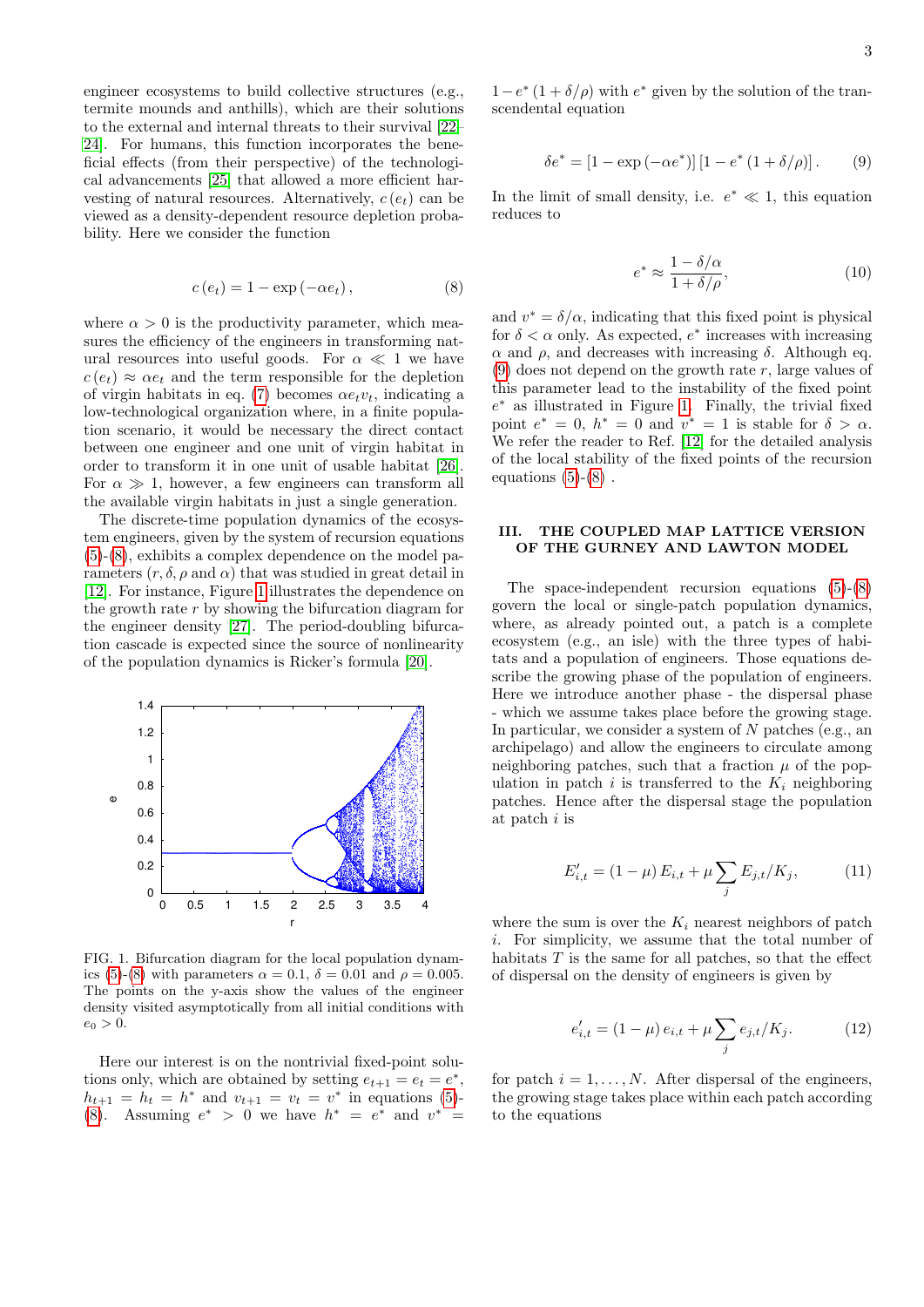engineer ecosystems to build collective structures (e.g., termite mounds and anthills), which are their solutions to the external and internal threats to their survival [\[22–](#page-7-20) [24\]](#page-7-21). For humans, this function incorporates the beneficial effects (from their perspective) of the technological advancements [\[25\]](#page-7-22) that allowed a more efficient harvesting of natural resources. Alternatively,  $c(e_t)$  can be viewed as a density-dependent resource depletion probability. Here we consider the function

<span id="page-2-1"></span>
$$
c(e_t) = 1 - \exp(-\alpha e_t), \qquad (8)
$$

where  $\alpha > 0$  is the productivity parameter, which measures the efficiency of the engineers in transforming natural resources into useful goods. For  $\alpha \ll 1$  we have  $c(e_t) \approx \alpha e_t$  and the term responsible for the depletion of virgin habitats in eq. [\(7\)](#page-1-1) becomes  $\alpha e_t v_t$ , indicating a low-technological organization where, in a finite population scenario, it would be necessary the direct contact between one engineer and one unit of virgin habitat in order to transform it in one unit of usable habitat [\[26\]](#page-7-23). For  $\alpha \gg 1$ , however, a few engineers can transform all the available virgin habitats in just a single generation.

The discrete-time population dynamics of the ecosystem engineers, given by the system of recursion equations [\(5\)](#page-1-1)-[\(8\)](#page-2-1), exhibits a complex dependence on the model parameters  $(r, \delta, \rho \text{ and } \alpha)$  that was studied in great detail in [\[12\]](#page-7-11). For instance, Figure [1](#page-2-2) illustrates the dependence on the growth rate r by showing the bifurcation diagram for the engineer density [\[27\]](#page-7-24). The period-doubling bifurcation cascade is expected since the source of nonlinearity of the population dynamics is Ricker's formula [\[20\]](#page-7-18).



<span id="page-2-2"></span>FIG. 1. Bifurcation diagram for the local population dynam-ics [\(5\)](#page-1-1)-[\(8\)](#page-2-1) with parameters  $\alpha = 0.1$ ,  $\delta = 0.01$  and  $\rho = 0.005$ . The points on the y-axis show the values of the engineer density visited asymptotically from all initial conditions with  $e_0 > 0.$ 

Here our interest is on the nontrivial fixed-point solutions only, which are obtained by setting  $e_{t+1} = e_t = e^*$ ,  $h_{t+1} = h_t = h^*$  and  $v_{t+1} = v_t = v^*$  in equations [\(5\)](#page-1-1)-[\(8\)](#page-2-1). Assuming  $e^* > 0$  we have  $h^* = e^*$  and  $v^* =$ 

 $1-e^*(1+\delta/\rho)$  with  $e^*$  given by the solution of the transcendental equation

<span id="page-2-3"></span>
$$
\delta e^* = [1 - \exp(-\alpha e^*)] [1 - e^* (1 + \delta/\rho)].
$$
 (9)

In the limit of small density, i.e.  $e^* \ll 1$ , this equation reduces to

<span id="page-2-5"></span>
$$
e^* \approx \frac{1 - \delta/\alpha}{1 + \delta/\rho},\tag{10}
$$

and  $v^* = \delta/\alpha$ , indicating that this fixed point is physical for  $\delta < \alpha$  only. As expected,  $e^*$  increases with increasing  $\alpha$  and  $\rho$ , and decreases with increasing δ. Although eq.  $(9)$  does not depend on the growth rate r, large values of this parameter lead to the instability of the fixed point e <sup>∗</sup> as illustrated in Figure [1.](#page-2-2) Finally, the trivial fixed point  $e^* = 0$ ,  $h^* = 0$  and  $v^* = 1$  is stable for  $\delta > \alpha$ . We refer the reader to Ref. [\[12\]](#page-7-11) for the detailed analysis of the local stability of the fixed points of the recursion equations  $(5)-(8)$  $(5)-(8)$  $(5)-(8)$ .

## <span id="page-2-0"></span>III. THE COUPLED MAP LATTICE VERSION OF THE GURNEY AND LAWTON MODEL

The space-independent recursion equations [\(5\)](#page-1-1)-[\(8\)](#page-2-1) govern the local or single-patch population dynamics, where, as already pointed out, a patch is a complete ecosystem (e.g., an isle) with the three types of habitats and a population of engineers. Those equations describe the growing phase of the population of engineers. Here we introduce another phase - the dispersal phase - which we assume takes place before the growing stage. In particular, we consider a system of N patches (e.g., an archipelago) and allow the engineers to circulate among neighboring patches, such that a fraction  $\mu$  of the population in patch i is transferred to the  $K_i$  neighboring patches. Hence after the dispersal stage the population at patch  $i$  is

$$
E'_{i,t} = (1 - \mu) E_{i,t} + \mu \sum_{j} E_{j,t} / K_j,
$$
 (11)

where the sum is over the  $K_i$  nearest neighbors of patch i. For simplicity, we assume that the total number of habitats  $T$  is the same for all patches, so that the effect of dispersal on the density of engineers is given by

<span id="page-2-4"></span>
$$
e'_{i,t} = (1 - \mu) e_{i,t} + \mu \sum_{j} e_{j,t} / K_j.
$$
 (12)

for patch  $i = 1, \ldots, N$ . After dispersal of the engineers, the growing stage takes place within each patch according to the equations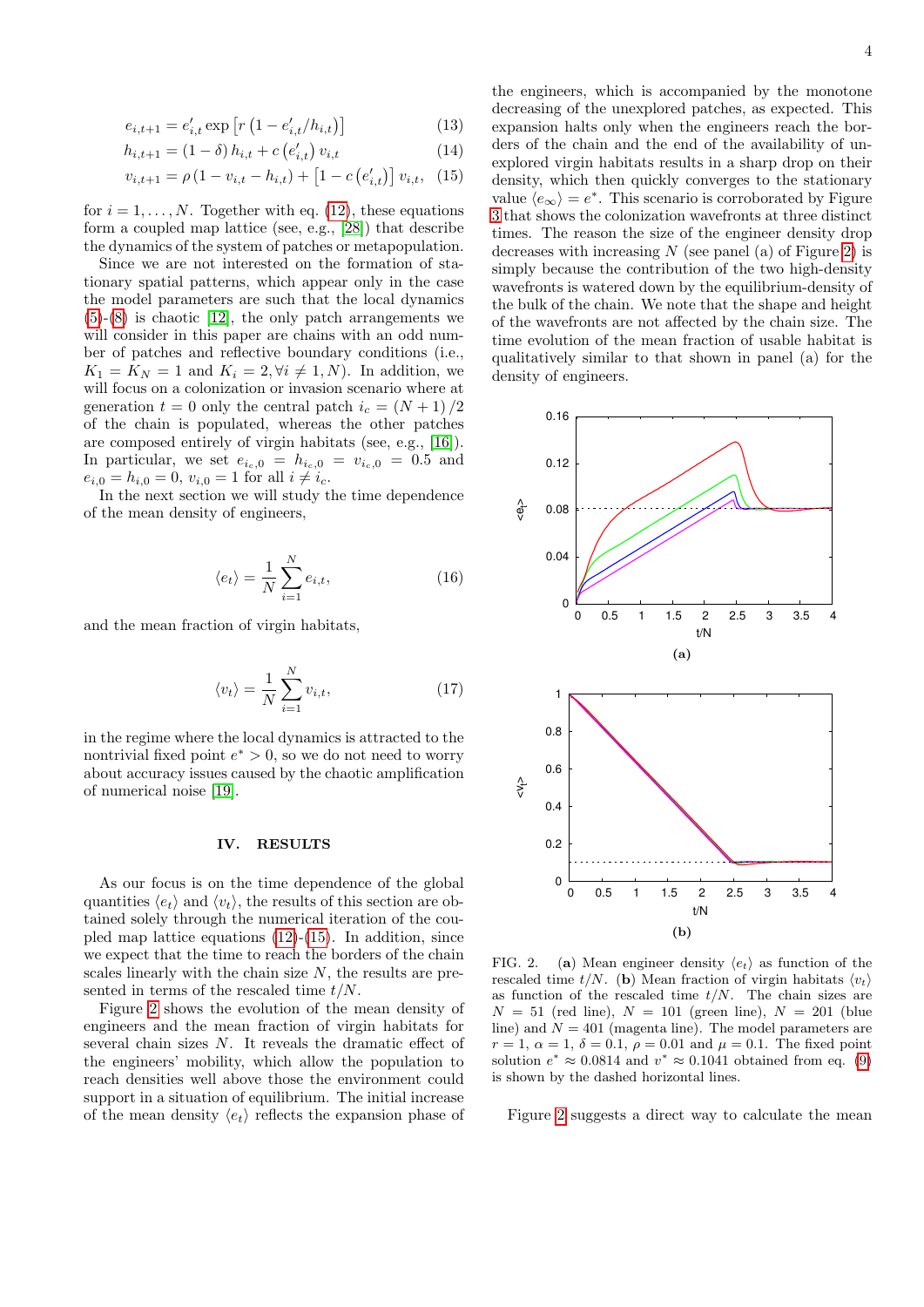<span id="page-3-1"></span>
$$
e_{i,t+1} = e'_{i,t} \exp\left[r\left(1 - e'_{i,t}/h_{i,t}\right)\right]
$$
 (13)

$$
h_{i,t+1} = (1 - \delta) h_{i,t} + c (e'_{i,t}) v_{i,t}
$$
\n(14)

$$
v_{i,t+1} = \rho \left( 1 - v_{i,t} - h_{i,t} \right) + \left[ 1 - c \left( e'_{i,t} \right) \right] v_{i,t}, \tag{15}
$$

for  $i = 1, \ldots, N$ . Together with eq. [\(12\)](#page-2-4), these equations form a coupled map lattice (see, e.g., [\[28\]](#page-7-25)) that describe the dynamics of the system of patches or metapopulation.

Since we are not interested on the formation of stationary spatial patterns, which appear only in the case the model parameters are such that the local dynamics  $(5)-(8)$  $(5)-(8)$  $(5)-(8)$  is chaotic [\[12\]](#page-7-11), the only patch arrangements we will consider in this paper are chains with an odd number of patches and reflective boundary conditions (i.e.,  $K_1 = K_N = 1$  and  $K_i = 2, \forall i \neq 1, N$ . In addition, we will focus on a colonization or invasion scenario where at generation  $t = 0$  only the central patch  $i_c = (N + 1)/2$ of the chain is populated, whereas the other patches are composed entirely of virgin habitats (see, e.g., [\[16\]](#page-7-15)). In particular, we set  $e_{i_c,0} = h_{i_c,0} = v_{i_c,0} = 0.5$  and  $e_{i,0} = h_{i,0} = 0$ ,  $v_{i,0} = 1$  for all  $i \neq i_c$ .

In the next section we will study the time dependence of the mean density of engineers,

$$
\langle e_t \rangle = \frac{1}{N} \sum_{i=1}^{N} e_{i,t}, \tag{16}
$$

and the mean fraction of virgin habitats,

$$
\langle v_t \rangle = \frac{1}{N} \sum_{i=1}^{N} v_{i,t},\tag{17}
$$

in the regime where the local dynamics is attracted to the nontrivial fixed point  $e^* > 0$ , so we do not need to worry about accuracy issues caused by the chaotic amplification of numerical noise [\[19\]](#page-7-17).

### <span id="page-3-0"></span>IV. RESULTS

As our focus is on the time dependence of the global quantities  $\langle e_t \rangle$  and  $\langle v_t \rangle$ , the results of this section are obtained solely through the numerical iteration of the coupled map lattice equations [\(12\)](#page-2-4)-[\(15\)](#page-3-1). In addition, since we expect that the time to reach the borders of the chain scales linearly with the chain size  $N$ , the results are presented in terms of the rescaled time  $t/N$ .

Figure [2](#page-3-2) shows the evolution of the mean density of engineers and the mean fraction of virgin habitats for several chain sizes N. It reveals the dramatic effect of the engineers' mobility, which allow the population to reach densities well above those the environment could support in a situation of equilibrium. The initial increase of the mean density  $\langle e_t \rangle$  reflects the expansion phase of the engineers, which is accompanied by the monotone decreasing of the unexplored patches, as expected. This expansion halts only when the engineers reach the borders of the chain and the end of the availability of unexplored virgin habitats results in a sharp drop on their density, which then quickly converges to the stationary value  $\langle e_{\infty} \rangle = e^*$ . This scenario is corroborated by Figure [3](#page-4-0) that shows the colonization wavefronts at three distinct times. The reason the size of the engineer density drop decreases with increasing  $N$  (see panel (a) of Figure [2\)](#page-3-2) is simply because the contribution of the two high-density wavefronts is watered down by the equilibrium-density of the bulk of the chain. We note that the shape and height of the wavefronts are not affected by the chain size. The time evolution of the mean fraction of usable habitat is qualitatively similar to that shown in panel (a) for the density of engineers.



<span id="page-3-2"></span>FIG. 2. (a) Mean engineer density  $\langle e_t \rangle$  as function of the rescaled time  $t/N$ . (b) Mean fraction of virgin habitats  $\langle v_t \rangle$ as function of the rescaled time  $t/N$ . The chain sizes are  $N = 51$  (red line),  $N = 101$  (green line),  $N = 201$  (blue line) and  $N = 401$  (magenta line). The model parameters are  $r = 1, \alpha = 1, \delta = 0.1, \rho = 0.01$  and  $\mu = 0.1$ . The fixed point solution  $e^* \approx 0.0814$  and  $v^* \approx 0.1041$  obtained from eq. [\(9\)](#page-2-3) is shown by the dashed horizontal lines.

Figure [2](#page-3-2) suggests a direct way to calculate the mean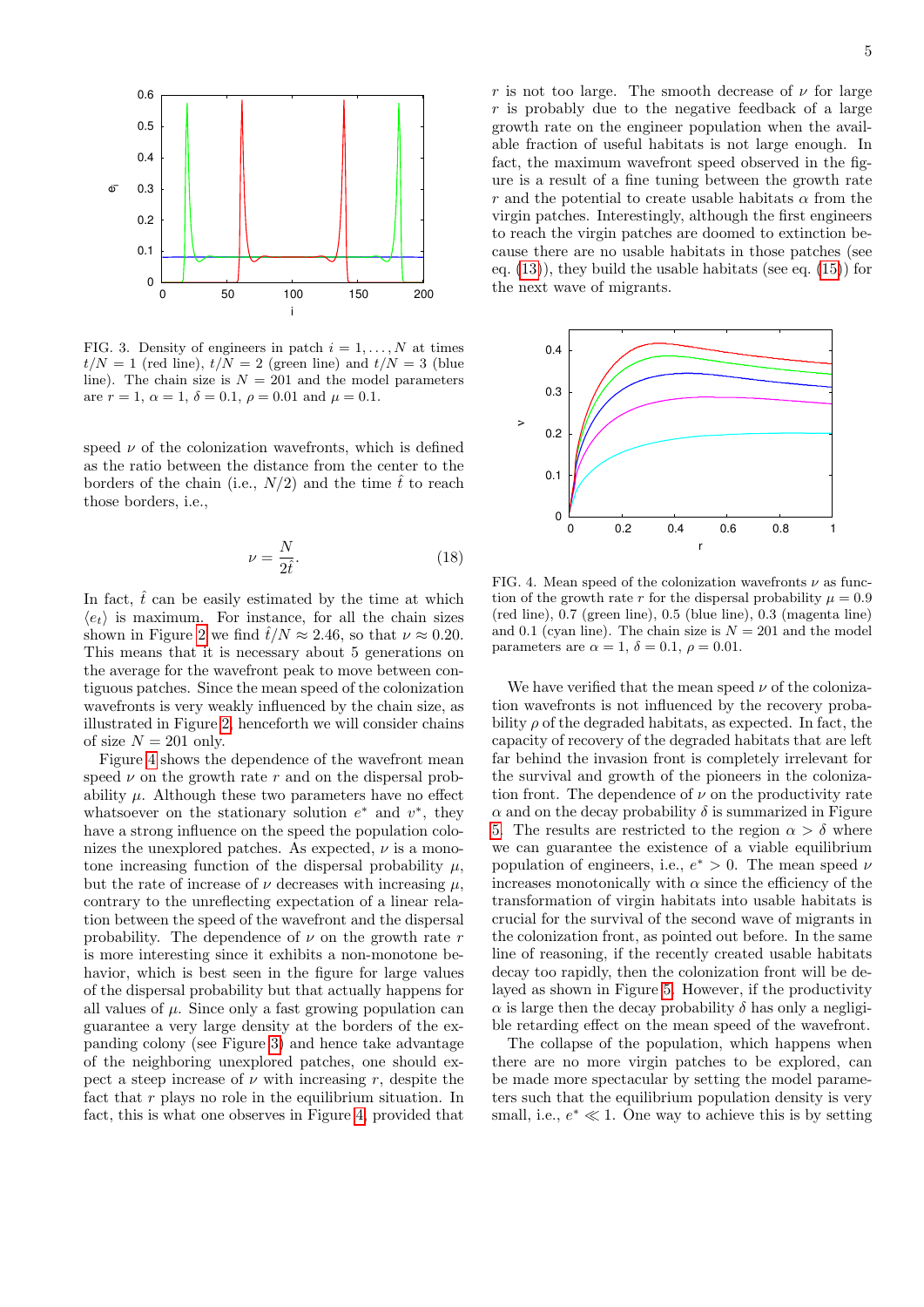

<span id="page-4-0"></span>FIG. 3. Density of engineers in patch  $i = 1, \ldots, N$  at times  $t/N = 1$  (red line),  $t/N = 2$  (green line) and  $t/N = 3$  (blue line). The chain size is  $N = 201$  and the model parameters are  $r = 1, \alpha = 1, \delta = 0.1, \rho = 0.01$  and  $\mu = 0.1$ .

speed  $\nu$  of the colonization wavefronts, which is defined as the ratio between the distance from the center to the borders of the chain (i.e.,  $N/2$ ) and the time  $\hat{t}$  to reach those borders, i.e.,

$$
\nu = \frac{N}{2\hat{t}}.\tag{18}
$$

In fact,  $\hat{t}$  can be easily estimated by the time at which  $\langle e_t \rangle$  is maximum. For instance, for all the chain sizes shown in Figure [2](#page-3-2) we find  $\hat{t}/N \approx 2.46$ , so that  $\nu \approx 0.20$ . This means that it is necessary about 5 generations on the average for the wavefront peak to move between contiguous patches. Since the mean speed of the colonization wavefronts is very weakly influenced by the chain size, as illustrated in Figure [2,](#page-3-2) henceforth we will consider chains of size  $N = 201$  only.

Figure [4](#page-4-1) shows the dependence of the wavefront mean speed  $\nu$  on the growth rate r and on the dispersal probability  $\mu$ . Although these two parameters have no effect whatsoever on the stationary solution  $e^*$  and  $v^*$ , they have a strong influence on the speed the population colonizes the unexplored patches. As expected,  $\nu$  is a monotone increasing function of the dispersal probability  $\mu$ , but the rate of increase of  $\nu$  decreases with increasing  $\mu$ , contrary to the unreflecting expectation of a linear relation between the speed of the wavefront and the dispersal probability. The dependence of  $\nu$  on the growth rate r is more interesting since it exhibits a non-monotone behavior, which is best seen in the figure for large values of the dispersal probability but that actually happens for all values of  $\mu$ . Since only a fast growing population can guarantee a very large density at the borders of the expanding colony (see Figure [3\)](#page-4-0) and hence take advantage of the neighboring unexplored patches, one should expect a steep increase of  $\nu$  with increasing r, despite the fact that  $r$  plays no role in the equilibrium situation. In fact, this is what one observes in Figure [4,](#page-4-1) provided that

r is not too large. The smooth decrease of  $\nu$  for large r is probably due to the negative feedback of a large growth rate on the engineer population when the available fraction of useful habitats is not large enough. In fact, the maximum wavefront speed observed in the figure is a result of a fine tuning between the growth rate r and the potential to create usable habitats  $\alpha$  from the virgin patches. Interestingly, although the first engineers to reach the virgin patches are doomed to extinction because there are no usable habitats in those patches (see eq.  $(13)$ , they build the usable habitats (see eq.  $(15)$ ) for the next wave of migrants.



<span id="page-4-1"></span>FIG. 4. Mean speed of the colonization wavefronts  $\nu$  as function of the growth rate r for the dispersal probability  $\mu = 0.9$ (red line), 0.7 (green line), 0.5 (blue line), 0.3 (magenta line) and 0.1 (cyan line). The chain size is  $N = 201$  and the model parameters are  $\alpha = 1$ ,  $\delta = 0.1$ ,  $\rho = 0.01$ .

We have verified that the mean speed  $\nu$  of the colonization wavefronts is not influenced by the recovery probability  $\rho$  of the degraded habitats, as expected. In fact, the capacity of recovery of the degraded habitats that are left far behind the invasion front is completely irrelevant for the survival and growth of the pioneers in the colonization front. The dependence of  $\nu$  on the productivity rate  $\alpha$  and on the decay probability  $\delta$  is summarized in Figure [5.](#page-5-0) The results are restricted to the region  $\alpha > \delta$  where we can guarantee the existence of a viable equilibrium population of engineers, i.e.,  $e^* > 0$ . The mean speed  $\nu$ increases monotonically with  $\alpha$  since the efficiency of the transformation of virgin habitats into usable habitats is crucial for the survival of the second wave of migrants in the colonization front, as pointed out before. In the same line of reasoning, if the recently created usable habitats decay too rapidly, then the colonization front will be delayed as shown in Figure [5.](#page-5-0) However, if the productivity  $\alpha$  is large then the decay probability  $\delta$  has only a negligible retarding effect on the mean speed of the wavefront.

The collapse of the population, which happens when there are no more virgin patches to be explored, can be made more spectacular by setting the model parameters such that the equilibrium population density is very small, i.e.,  $e^* \ll 1$ . One way to achieve this is by setting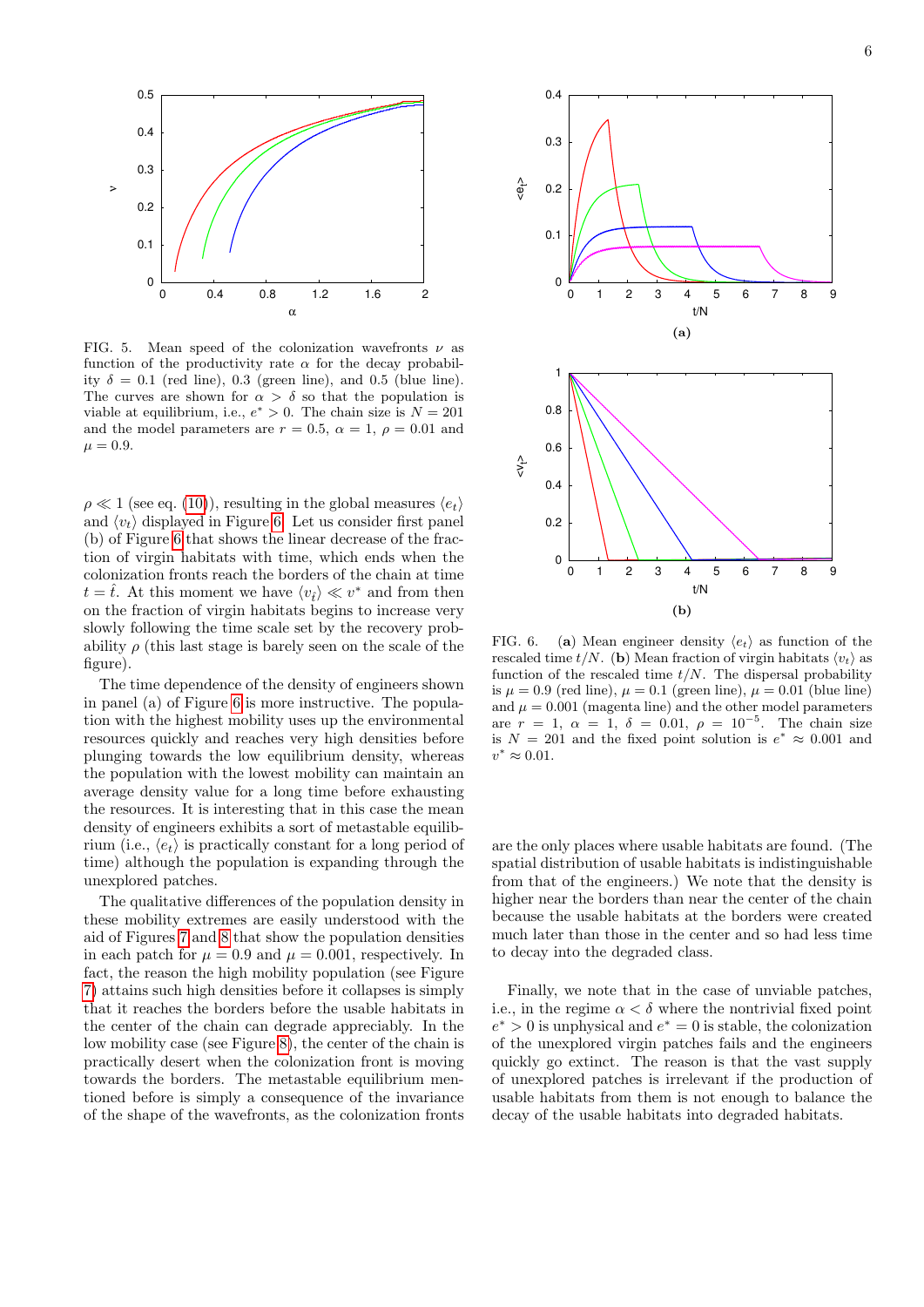

<span id="page-5-0"></span>FIG. 5. Mean speed of the colonization wavefronts  $\nu$  as function of the productivity rate  $\alpha$  for the decay probability  $\delta = 0.1$  (red line), 0.3 (green line), and 0.5 (blue line). The curves are shown for  $\alpha > \delta$  so that the population is viable at equilibrium, i.e.,  $e^* > 0$ . The chain size is  $N = 201$ and the model parameters are  $r = 0.5$ ,  $\alpha = 1$ ,  $\rho = 0.01$  and  $\mu = 0.9.$ 

 $\rho \ll 1$  (see eq. [\(10\)](#page-2-5)), resulting in the global measures  $\langle e_t \rangle$ and  $\langle v_t \rangle$  displayed in Figure [6.](#page-5-1) Let us consider first panel (b) of Figure [6](#page-5-1) that shows the linear decrease of the fraction of virgin habitats with time, which ends when the colonization fronts reach the borders of the chain at time  $t = \hat{t}$ . At this moment we have  $\langle v_{\hat{t}} \rangle \ll v^*$  and from then on the fraction of virgin habitats begins to increase very slowly following the time scale set by the recovery probability  $\rho$  (this last stage is barely seen on the scale of the figure).

The time dependence of the density of engineers shown in panel (a) of Figure [6](#page-5-1) is more instructive. The population with the highest mobility uses up the environmental resources quickly and reaches very high densities before plunging towards the low equilibrium density, whereas the population with the lowest mobility can maintain an average density value for a long time before exhausting the resources. It is interesting that in this case the mean density of engineers exhibits a sort of metastable equilibrium (i.e.,  $\langle e_t \rangle$ ) is practically constant for a long period of time) although the population is expanding through the unexplored patches.

The qualitative differences of the population density in these mobility extremes are easily understood with the aid of Figures [7](#page-6-1) and [8](#page-6-2) that show the population densities in each patch for  $\mu = 0.9$  and  $\mu = 0.001$ , respectively. In fact, the reason the high mobility population (see Figure [7\)](#page-6-1) attains such high densities before it collapses is simply that it reaches the borders before the usable habitats in the center of the chain can degrade appreciably. In the low mobility case (see Figure [8\)](#page-6-2), the center of the chain is practically desert when the colonization front is moving towards the borders. The metastable equilibrium mentioned before is simply a consequence of the invariance of the shape of the wavefronts, as the colonization fronts



<span id="page-5-1"></span>FIG. 6. (a) Mean engineer density  $\langle e_t \rangle$  as function of the rescaled time  $t/N$ . (b) Mean fraction of virgin habitats  $\langle v_t \rangle$  as function of the rescaled time  $t/N$ . The dispersal probability is  $\mu = 0.9$  (red line),  $\mu = 0.1$  (green line),  $\mu = 0.01$  (blue line) and  $\mu = 0.001$  (magenta line) and the other model parameters are  $r = 1, \ \alpha = 1, \ \delta = 0.01, \ \rho = 10^{-5}$ . The chain size is  $N = 201$  and the fixed point solution is  $e^* \approx 0.001$  and  $v^* \approx 0.01$ .

are the only places where usable habitats are found. (The spatial distribution of usable habitats is indistinguishable from that of the engineers.) We note that the density is higher near the borders than near the center of the chain because the usable habitats at the borders were created much later than those in the center and so had less time to decay into the degraded class.

Finally, we note that in the case of unviable patches, i.e., in the regime  $\alpha < \delta$  where the nontrivial fixed point  $e^* > 0$  is unphysical and  $e^* = 0$  is stable, the colonization of the unexplored virgin patches fails and the engineers quickly go extinct. The reason is that the vast supply of unexplored patches is irrelevant if the production of usable habitats from them is not enough to balance the decay of the usable habitats into degraded habitats.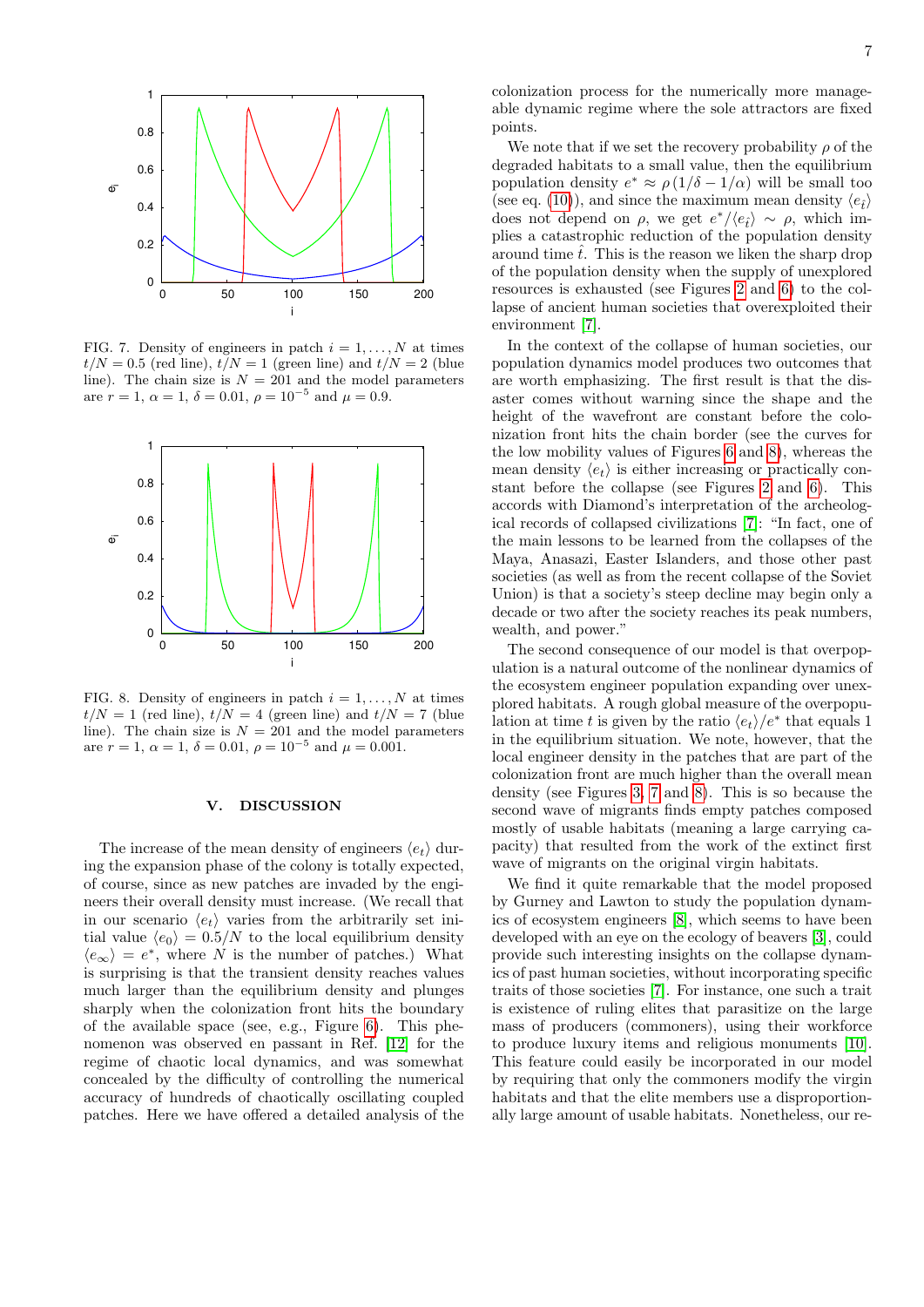

<span id="page-6-1"></span>FIG. 7. Density of engineers in patch  $i = 1, \ldots, N$  at times  $t/N = 0.5$  (red line),  $t/N = 1$  (green line) and  $t/N = 2$  (blue line). The chain size is  $N = 201$  and the model parameters are  $r = 1$ ,  $\alpha = 1$ ,  $\delta = 0.01$ ,  $\rho = 10^{-5}$  and  $\mu = 0.9$ .



<span id="page-6-2"></span>FIG. 8. Density of engineers in patch  $i = 1, \ldots, N$  at times  $t/N = 1$  (red line),  $t/N = 4$  (green line) and  $t/N = 7$  (blue line). The chain size is  $N = 201$  and the model parameters are  $r = 1$ ,  $\alpha = 1$ ,  $\delta = 0.01$ ,  $\rho = 10^{-5}$  and  $\mu = 0.001$ .

### <span id="page-6-0"></span>V. DISCUSSION

The increase of the mean density of engineers  $\langle e_t \rangle$  during the expansion phase of the colony is totally expected, of course, since as new patches are invaded by the engineers their overall density must increase. (We recall that in our scenario  $\langle e_t \rangle$  varies from the arbitrarily set initial value  $\langle e_0 \rangle = 0.5/N$  to the local equilibrium density  $\langle e_{\infty} \rangle = e^*$ , where N is the number of patches.) What is surprising is that the transient density reaches values much larger than the equilibrium density and plunges sharply when the colonization front hits the boundary of the available space (see, e.g., Figure [6\)](#page-5-1). This phenomenon was observed en passant in Ref. [\[12\]](#page-7-11) for the regime of chaotic local dynamics, and was somewhat concealed by the difficulty of controlling the numerical accuracy of hundreds of chaotically oscillating coupled patches. Here we have offered a detailed analysis of the

colonization process for the numerically more manageable dynamic regime where the sole attractors are fixed points.

We note that if we set the recovery probability  $\rho$  of the degraded habitats to a small value, then the equilibrium population density  $e^* \approx \rho (1/\delta - 1/\alpha)$  will be small too (see eq. [\(10\)](#page-2-5)), and since the maximum mean density  $\langle e_i \rangle$ does not depend on  $\rho$ , we get  $e^*/\langle e_i \rangle \sim \rho$ , which implies a catastrophic reduction of the population density around time  $\hat{t}$ . This is the reason we liken the sharp drop of the population density when the supply of unexplored resources is exhausted (see Figures [2](#page-3-2) and [6\)](#page-5-1) to the collapse of ancient human societies that overexploited their environment [\[7\]](#page-7-6).

In the context of the collapse of human societies, our population dynamics model produces two outcomes that are worth emphasizing. The first result is that the disaster comes without warning since the shape and the height of the wavefront are constant before the colonization front hits the chain border (see the curves for the low mobility values of Figures [6](#page-5-1) and [8\)](#page-6-2), whereas the mean density  $\langle e_t \rangle$  is either increasing or practically constant before the collapse (see Figures [2](#page-3-2) and [6\)](#page-5-1). This accords with Diamond's interpretation of the archeological records of collapsed civilizations [\[7\]](#page-7-6): "In fact, one of the main lessons to be learned from the collapses of the Maya, Anasazi, Easter Islanders, and those other past societies (as well as from the recent collapse of the Soviet Union) is that a society's steep decline may begin only a decade or two after the society reaches its peak numbers, wealth, and power."

The second consequence of our model is that overpopulation is a natural outcome of the nonlinear dynamics of the ecosystem engineer population expanding over unexplored habitats. A rough global measure of the overpopulation at time t is given by the ratio  $\langle e_t \rangle / e^*$  that equals 1 in the equilibrium situation. We note, however, that the local engineer density in the patches that are part of the colonization front are much higher than the overall mean density (see Figures [3,](#page-4-0) [7](#page-6-1) and [8\)](#page-6-2). This is so because the second wave of migrants finds empty patches composed mostly of usable habitats (meaning a large carrying capacity) that resulted from the work of the extinct first wave of migrants on the original virgin habitats.

We find it quite remarkable that the model proposed by Gurney and Lawton to study the population dynamics of ecosystem engineers [\[8\]](#page-7-7), which seems to have been developed with an eye on the ecology of beavers [\[3\]](#page-7-2), could provide such interesting insights on the collapse dynamics of past human societies, without incorporating specific traits of those societies [\[7\]](#page-7-6). For instance, one such a trait is existence of ruling elites that parasitize on the large mass of producers (commoners), using their workforce to produce luxury items and religious monuments [\[10\]](#page-7-9). This feature could easily be incorporated in our model by requiring that only the commoners modify the virgin habitats and that the elite members use a disproportionally large amount of usable habitats. Nonetheless, our re